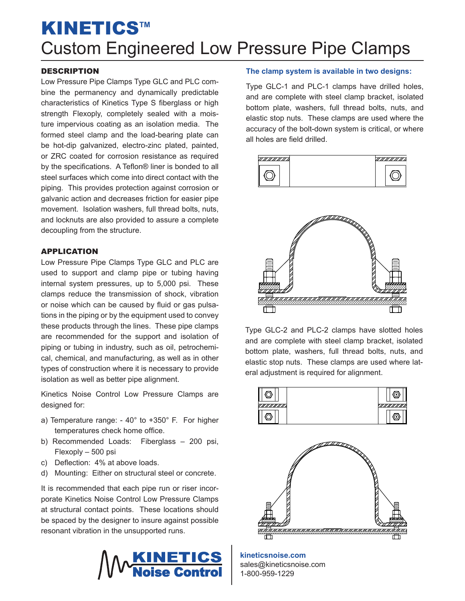# Custom Engineered Low Pressure Pipe Clamps KINETICS**TM**

### **DESCRIPTION**

Low Pressure Pipe Clamps Type GLC and PLC combine the permanency and dynamically predictable characteristics of Kinetics Type S fiberglass or high strength Flexoply, completely sealed with a moisture impervious coating as an isolation media. The formed steel clamp and the load-bearing plate can be hot-dip galvanized, electro-zinc plated, painted, or ZRC coated for corrosion resistance as required by the specifications. A Teflon® liner is bonded to all steel surfaces which come into direct contact with the piping. This provides protection against corrosion or galvanic action and decreases friction for easier pipe movement. Isolation washers, full thread bolts, nuts, and locknuts are also provided to assure a complete decoupling from the structure.

# APPLICATION

Low Pressure Pipe Clamps Type GLC and PLC are used to support and clamp pipe or tubing having internal system pressures, up to 5,000 psi. These clamps reduce the transmission of shock, vibration or noise which can be caused by fluid or gas pulsations in the piping or by the equipment used to convey these products through the lines. These pipe clamps are recommended for the support and isolation of piping or tubing in industry, such as oil, petrochemical, chemical, and manufacturing, as well as in other types of construction where it is necessary to provide isolation as well as better pipe alignment.

Kinetics Noise Control Low Pressure Clamps are designed for:

- a) Temperature range: 40° to +350° F. For higher temperatures check home office.
- b) Recommended Loads: Fiberglass 200 psi, Flexoply – 500 psi
- c) Deflection: 4% at above loads.
- d) Mounting: Either on structural steel or concrete.

It is recommended that each pipe run or riser incorporate Kinetics Noise Control Low Pressure Clamps at structural contact points. These locations should be spaced by the designer to insure against possible resonant vibration in the unsupported runs.



### **The clamp system is available in two designs:**

Type GLC-1 and PLC-1 clamps have drilled holes, and are complete with steel clamp bracket, isolated bottom plate, washers, full thread bolts, nuts, and elastic stop nuts. These clamps are used where the accuracy of the bolt-down system is critical, or where all holes are field drilled.





Type GLC-2 and PLC-2 clamps have slotted holes and are complete with steel clamp bracket, isolated bottom plate, washers, full thread bolts, nuts, and elastic stop nuts. These clamps are used where lateral adjustment is required for alignment.



**kineticsnoise.com** sales@kineticsnoise.com 1-800-959-1229